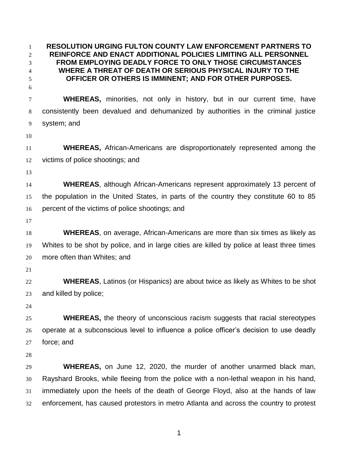**RESOLUTION URGING FULTON COUNTY LAW ENFORCEMENT PARTNERS TO REINFORCE AND ENACT ADDITIONAL POLICIES LIMITING ALL PERSONNEL FROM EMPLOYING DEADLY FORCE TO ONLY THOSE CIRCUMSTANCES WHERE A THREAT OF DEATH OR SERIOUS PHYSICAL INJURY TO THE OFFICER OR OTHERS IS IMMINENT; AND FOR OTHER PURPOSES. WHEREAS,** minorities, not only in history, but in our current time, have consistently been devalued and dehumanized by authorities in the criminal justice system; and **WHEREAS,** African-Americans are disproportionately represented among the victims of police shootings; and **WHEREAS**, although African-Americans represent approximately 13 percent of the population in the United States, in parts of the country they constitute 60 to 85 percent of the victims of police shootings; and **WHEREAS**, on average, African-Americans are more than six times as likely as Whites to be shot by police, and in large cities are killed by police at least three times more often than Whites; and **WHEREAS**, Latinos (or Hispanics) are about twice as likely as Whites to be shot and killed by police; **WHEREAS,** the theory of unconscious racism suggests that racial stereotypes operate at a subconscious level to influence a police officer's decision to use deadly force; and **WHEREAS,** on June 12, 2020, the murder of another unarmed black man, Rayshard Brooks, while fleeing from the police with a non-lethal weapon in his hand, immediately upon the heels of the death of George Floyd, also at the hands of law enforcement, has caused protestors in metro Atlanta and across the country to protest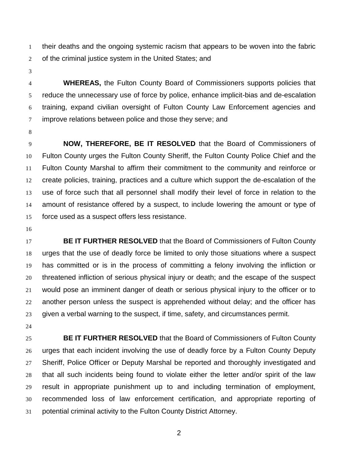their deaths and the ongoing systemic racism that appears to be woven into the fabric of the criminal justice system in the United States; and

 **WHEREAS,** the Fulton County Board of Commissioners supports policies that reduce the unnecessary use of force by police, enhance implicit-bias and de-escalation training, expand civilian oversight of Fulton County Law Enforcement agencies and 7 improve relations between police and those they serve; and

 **NOW, THEREFORE, BE IT RESOLVED** that the Board of Commissioners of Fulton County urges the Fulton County Sheriff, the Fulton County Police Chief and the Fulton County Marshal to affirm their commitment to the community and reinforce or create policies, training, practices and a culture which support the de-escalation of the use of force such that all personnel shall modify their level of force in relation to the amount of resistance offered by a suspect, to include lowering the amount or type of force used as a suspect offers less resistance.

 **BE IT FURTHER RESOLVED** that the Board of Commissioners of Fulton County urges that the use of deadly force be limited to only those situations where a suspect has committed or is in the process of committing a felony involving the infliction or threatened infliction of serious physical injury or death; and the escape of the suspect would pose an imminent danger of death or serious physical injury to the officer or to another person unless the suspect is apprehended without delay; and the officer has given a verbal warning to the suspect, if time, safety, and circumstances permit.

 **BE IT FURTHER RESOLVED** that the Board of Commissioners of Fulton County urges that each incident involving the use of deadly force by a Fulton County Deputy Sheriff, Police Officer or Deputy Marshal be reported and thoroughly investigated and that all such incidents being found to violate either the letter and/or spirit of the law result in appropriate punishment up to and including termination of employment, recommended loss of law enforcement certification, and appropriate reporting of potential criminal activity to the Fulton County District Attorney.